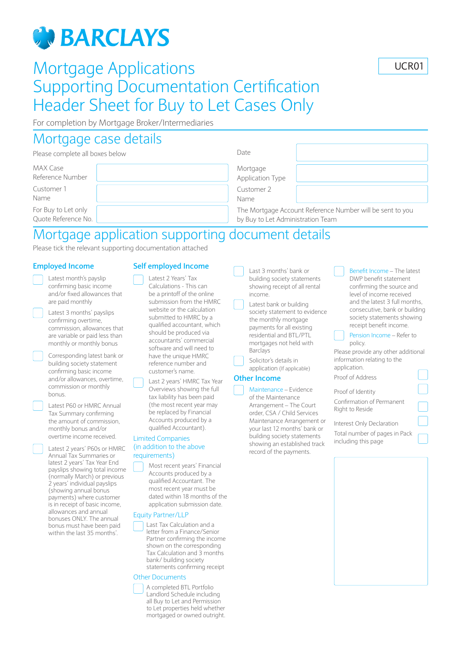# **GN BARCLAYS**

# Mortgage Applications Supporting Documentation Certification Header Sheet for Buy to Let Cases Only

UCR01

For completion by Mortgage Broker/Intermediaries

### Mortgage case details

| Please complete all boxes below | Date                                                      |  |
|---------------------------------|-----------------------------------------------------------|--|
| MAX Case                        | Mortgage                                                  |  |
| Reference Number                | Application Type                                          |  |
| Customer 1                      | Customer 2                                                |  |
| Name                            | Name                                                      |  |
| For Buy to Let only             | The Mortgage Account Reference Number will be sent to you |  |
| Quote Reference No.             | by Buy to Let Administration Team                         |  |

## Mortgage application supporting document details

Please tick the relevant supporting documentation attached

#### **Employed Income**

- Latest month's payslip confirming basic income and/or fixed allowances that are paid monthly
- Latest 3 months' payslips confirming overtime, commission, allowances that are variable or paid less than monthly or monthly bonus
	- Corresponding latest bank or building society statement confirming basic income and/or allowances, overtime, commission or monthly bonus.
- Latest P60 or HMRC Annual Tax Summary confirming the amount of commission, monthly bonus and/or overtime income received.

 Latest 2 years' P60s or HMRC Annual Tax Summaries or latest 2 years' Tax Year End payslips showing total income (normally March) or previous 2 years' individual payslips (showing annual bonus payments) where customer is in receipt of basic income, allowances and annual bonuses ONLY. The annual bonus must have been paid within the last 35 months'.

#### **Self employed Income**

Latest 2 Years' Tax

Calculations - This can be a printoff of the online submission from the HMRC website or the calculation submitted to HMRC by a qualified accountant, which should be produced via accountants' commercial software and will need to have the unique HMRC reference number and customer's name.

 Last 2 years' HMRC Tax Year Overviews showing the full tax liability has been paid (the most recent year may be replaced by Financial Accounts produced by a qualified Accountant). Limited Companies

#### (in addition to the above requirements)



#### most recent year must be dated within 18 months of the application submission date.

#### Equity Partner/LLP

 Last Tax Calculation and a letter from a Finance/Senior Partner confirming the income shown on the corresponding Tax Calculation and 3 months bank/ building society statements confirming receipt

#### Other Documents



- Last 3 months' bank or building society statements showing receipt of all rental income.
- Latest bank or building society statement to evidence the monthly mortgage payments for all existing residential and BTL/PTL mortgages not held with Barclays
- Solicitor's details in application (If applicable)

#### **Other Income**

Maintenance – Evidence of the Maintenance Arrangement – The Court order, CSA / Child Services Maintenance Arrangement or your last 12 months' bank or building society statements showing an established track record of the payments.

- Benefit Income The latest DWP benefit statement confirming the source and level of income received and the latest 3 full months, consecutive, bank or building society statements showing receipt benefit income.
- Pension Income Refer to policy.
- Please provide any other additional information relating to the application.
- Proof of Address Proof of Identity
- Confirmation of Permanent Right to Reside
- Interest Only Declaration
- Total number of pages in Pack including this page